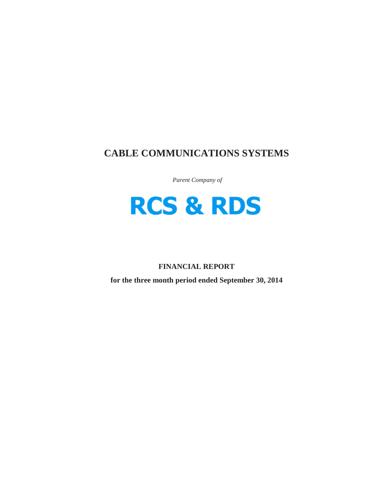# **CABLE COMMUNICATIONS SYSTEMS**

*Parent Company of*



# **FINANCIAL REPORT**

**for the three month period ended September 30, 2014**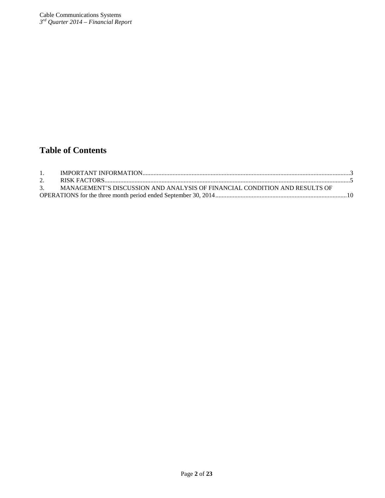# **Table of Contents**

| MANAGEMENT'S DISCUSSION AND ANALYSIS OF FINANCIAL CONDITION AND RESULTS OF |  |
|----------------------------------------------------------------------------|--|
|                                                                            |  |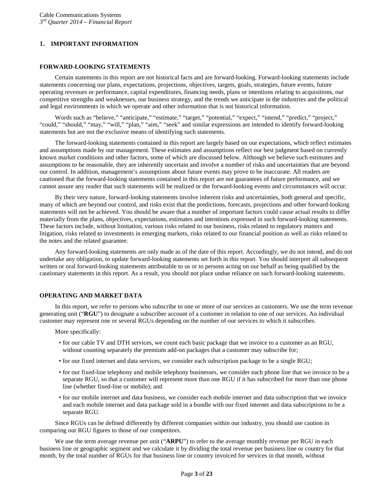# <span id="page-2-0"></span>**1. IMPORTANT INFORMATION**

#### **FORWARD-LOOKING STATEMENTS**

Certain statements in this report are not historical facts and are forward-looking. Forward-looking statements include statements concerning our plans, expectations, projections, objectives, targets, goals, strategies, future events, future operating revenues or performance, capital expenditures, financing needs, plans or intentions relating to acquisitions, our competitive strengths and weaknesses, our business strategy, and the trends we anticipate in the industries and the political and legal environments in which we operate and other information that is not historical information.

Words such as "believe," "anticipate," "estimate," "target," "potential," "expect," "intend," "predict," "project," "could," "should," "may," "will," "plan," "aim," "seek" and similar expressions are intended to identify forward-looking statements but are not the exclusive means of identifying such statements.

The forward-looking statements contained in this report are largely based on our expectations, which reflect estimates and assumptions made by our management. These estimates and assumptions reflect our best judgment based on currently known market conditions and other factors, some of which are discussed below. Although we believe such estimates and assumptions to be reasonable, they are inherently uncertain and involve a number of risks and uncertainties that are beyond our control. In addition, management's assumptions about future events may prove to be inaccurate. All readers are cautioned that the forward-looking statements contained in this report are not guarantees of future performance, and we cannot assure any reader that such statements will be realized or the forward-looking events and circumstances will occur.

By their very nature, forward-looking statements involve inherent risks and uncertainties, both general and specific, many of which are beyond our control, and risks exist that the predictions, forecasts, projections and other forward-looking statements will not be achieved. You should be aware that a number of important factors could cause actual results to differ materially from the plans, objectives, expectations, estimates and intentions expressed in such forward-looking statements. These factors include, without limitation, various risks related to our business, risks related to regulatory matters and litigation, risks related to investments in emerging markets, risks related to our financial position as well as risks related to the notes and the related guarantee.

Any forward-looking statements are only made as of the date of this report. Accordingly, we do not intend, and do not undertake any obligation, to update forward-looking statements set forth in this report. You should interpret all subsequent written or oral forward-looking statements attributable to us or to persons acting on our behalf as being qualified by the cautionary statements in this report. As a result, you should not place undue reliance on such forward-looking statements.

# **OPERATING AND MARKET DATA**

In this report, we refer to persons who subscribe to one or more of our services as customers. We use the term revenue generating unit ("**RGU**") to designate a subscriber account of a customer in relation to one of our services. An individual customer may represent one or several RGUs depending on the number of our services to which it subscribes.

More specifically:

- for our cable TV and DTH services, we count each basic package that we invoice to a customer as an RGU, without counting separately the premium add-on packages that a customer may subscribe for;
- for our fixed internet and data services, we consider each subscription package to be a single RGU;
- for our fixed-line telephony and mobile telephony businesses, we consider each phone line that we invoice to be a separate RGU, so that a customer will represent more than one RGU if it has subscribed for more than one phone line (whether fixed-line or mobile); and
- for our mobile internet and data business, we consider each mobile internet and data subscription that we invoice and each mobile internet and data package sold in a bundle with our fixed internet and data subscriptions to be a separate RGU.

Since RGUs can be defined differently by different companies within our industry, you should use caution in comparing our RGU figures to those of our competitors.

We use the term average revenue per unit ("**ARPU**") to refer to the average monthly revenue per RGU in each business line or geographic segment and we calculate it by dividing the total revenue per business line or country for that month, by the total number of RGUs for that business line or country invoiced for services in that month, without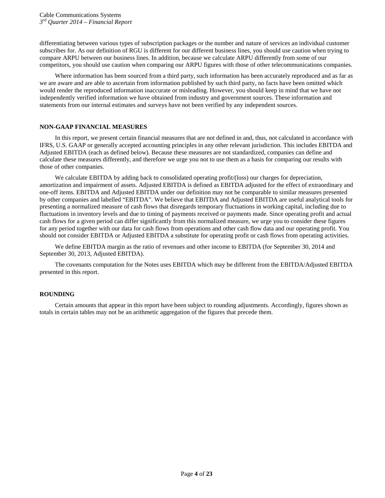differentiating between various types of subscription packages or the number and nature of services an individual customer subscribes for. As our definition of RGU is different for our different business lines, you should use caution when trying to compare ARPU between our business lines. In addition, because we calculate ARPU differently from some of our competitors, you should use caution when comparing our ARPU figures with those of other telecommunications companies.

Where information has been sourced from a third party, such information has been accurately reproduced and as far as we are aware and are able to ascertain from information published by such third party, no facts have been omitted which would render the reproduced information inaccurate or misleading. However, you should keep in mind that we have not independently verified information we have obtained from industry and government sources. These information and statements from our internal estimates and surveys have not been verified by any independent sources.

# **NON-GAAP FINANCIAL MEASURES**

In this report, we present certain financial measures that are not defined in and, thus, not calculated in accordance with IFRS, U.S. GAAP or generally accepted accounting principles in any other relevant jurisdiction. This includes EBITDA and Adjusted EBITDA (each as defined below). Because these measures are not standardized, companies can define and calculate these measures differently, and therefore we urge you not to use them as a basis for comparing our results with those of other companies.

We calculate EBITDA by adding back to consolidated operating profit/(loss) our charges for depreciation, amortization and impairment of assets. Adjusted EBITDA is defined as EBITDA adjusted for the effect of extraordinary and one-off items. EBITDA and Adjusted EBITDA under our definition may not be comparable to similar measures presented by other companies and labelled "EBITDA". We believe that EBITDA and Adjusted EBITDA are useful analytical tools for presenting a normalized measure of cash flows that disregards temporary fluctuations in working capital, including due to fluctuations in inventory levels and due to timing of payments received or payments made. Since operating profit and actual cash flows for a given period can differ significantly from this normalized measure, we urge you to consider these figures for any period together with our data for cash flows from operations and other cash flow data and our operating profit. You should not consider EBITDA or Adjusted EBITDA a substitute for operating profit or cash flows from operating activities.

We define EBITDA margin as the ratio of revenues and other income to EBITDA (for September 30, 2014 and September 30, 2013, Adjusted EBITDA).

The covenants computation for the Notes uses EBITDA which may be different from the EBITDA/Adjusted EBITDA presented in this report.

# **ROUNDING**

Certain amounts that appear in this report have been subject to rounding adjustments. Accordingly, figures shown as totals in certain tables may not be an arithmetic aggregation of the figures that precede them.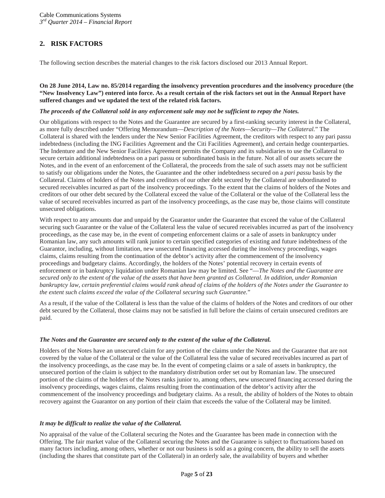# <span id="page-4-0"></span>**2. RISK FACTORS**

The following section describes the material changes to the risk factors disclosed our 2013 Annual Report.

# **On 28 June 2014, Law no. 85/2014 regarding the insolvency prevention procedures and the insolvency procedure (the "New Insolvency Law") entered into force. As a result certain of the risk factors set out in the Annual Report have suffered changes and we updated the text of the related risk factors.**

# *The proceeds of the Collateral sold in any enforcement sale may not be sufficient to repay the Notes.*

Our obligations with respect to the Notes and the Guarantee are secured by a first-ranking security interest in the Collateral, as more fully described under "Offering Memorandum—*Description of the Notes—Security—The Collateral.*" The Collateral is shared with the lenders under the New Senior Facilities Agreement, the creditors with respect to any pari passu indebtedness (including the ING Facilities Agreement and the Citi Facilities Agreement), and certain hedge counterparties. The Indenture and the New Senior Facilities Agreement permits the Company and its subsidiaries to use the Collateral to secure certain additional indebtedness on a pari passu or subordinated basis in the future. Not all of our assets secure the Notes, and in the event of an enforcement of the Collateral, the proceeds from the sale of such assets may not be sufficient to satisfy our obligations under the Notes, the Guarantee and the other indebtedness secured on a *pari passu* basis by the Collateral. Claims of holders of the Notes and creditors of our other debt secured by the Collateral are subordinated to secured receivables incurred as part of the insolvency proceedings. To the extent that the claims of holders of the Notes and creditors of our other debt secured by the Collateral exceed the value of the Collateral or the value of the Collateral less the value of secured receivables incurred as part of the insolvency proceedings, as the case may be, those claims will constitute unsecured obligations.

With respect to any amounts due and unpaid by the Guarantor under the Guarantee that exceed the value of the Collateral securing such Guarantee or the value of the Collateral less the value of secured receivables incurred as part of the insolvency proceedings, as the case may be, in the event of competing enforcement claims or a sale of assets in bankruptcy under Romanian law, any such amounts will rank junior to certain specified categories of existing and future indebtedness of the Guarantor, including, without limitation, new unsecured financing accessed during the insolvency proceedings, wages claims, claims resulting from the continuation of the debtor's activity after the commencement of the insolvency proceedings and budgetary claims. Accordingly, the holders of the Notes' potential recovery in certain events of enforcement or in bankruptcy liquidation under Romanian law may be limited. See "—*The Notes and the Guarantee are secured only to the extent of the value of the assets that have been granted as Collateral. In addition, under Romanian bankruptcy law, certain preferential claims would rank ahead of claims of the holders of the Notes under the Guarantee to the extent such claims exceed the value of the Collateral securing such Guarantee.*"

As a result, if the value of the Collateral is less than the value of the claims of holders of the Notes and creditors of our other debt secured by the Collateral, those claims may not be satisfied in full before the claims of certain unsecured creditors are paid.

# *The Notes and the Guarantee are secured only to the extent of the value of the Collateral.*

Holders of the Notes have an unsecured claim for any portion of the claims under the Notes and the Guarantee that are not covered by the value of the Collateral or the value of the Collateral less the value of secured receivables incurred as part of the insolvency proceedings, as the case may be. In the event of competing claims or a sale of assets in bankruptcy, the unsecured portion of the claim is subject to the mandatory distribution order set out by Romanian law. The unsecured portion of the claims of the holders of the Notes ranks junior to, among others, new unsecured financing accessed during the insolvency proceedings, wages claims, claims resulting from the continuation of the debtor's activity after the commencement of the insolvency proceedings and budgetary claims. As a result, the ability of holders of the Notes to obtain recovery against the Guarantor on any portion of their claim that exceeds the value of the Collateral may be limited.

# *It may be difficult to realize the value of the Collateral.*

No appraisal of the value of the Collateral securing the Notes and the Guarantee has been made in connection with the Offering. The fair market value of the Collateral securing the Notes and the Guarantee is subject to fluctuations based on many factors including, among others, whether or not our business is sold as a going concern, the ability to sell the assets (including the shares that constitute part of the Collateral) in an orderly sale, the availability of buyers and whether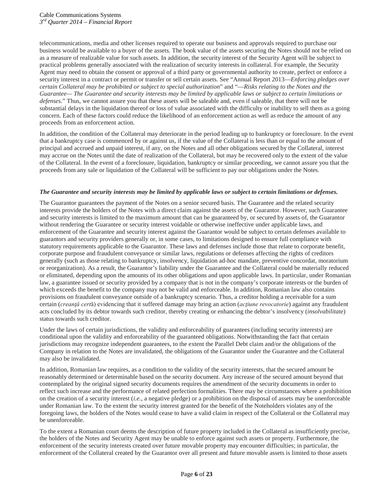telecommunications, media and other licenses required to operate our business and approvals required to purchase our business would be available to a buyer of the assets. The book value of the assets securing the Notes should not be relied on as a measure of realizable value for such assets. In addition, the security interest of the Security Agent will be subject to practical problems generally associated with the realization of security interests in collateral. For example, the Security Agent may need to obtain the consent or approval of a third party or governmental authority to create, perfect or enforce a security interest in a contract or permit or transfer or sell certain assets. See "Annual Report 2013—*Enforcing pledges over certain Collateral may be prohibited or subject to special authorization*" and "—*Risks relating to the Notes and the Guarantee— The Guarantee and security interests may be limited by applicable laws or subject to certain limitations or defenses.*" Thus, we cannot assure you that these assets will be saleable and, even if saleable, that there will not be substantial delays in the liquidation thereof or loss of value associated with the difficulty or inability to sell them as a going concern. Each of these factors could reduce the likelihood of an enforcement action as well as reduce the amount of any proceeds from an enforcement action.

In addition, the condition of the Collateral may deteriorate in the period leading up to bankruptcy or foreclosure. In the event that a bankruptcy case is commenced by or against us, if the value of the Collateral is less than or equal to the amount of principal and accrued and unpaid interest, if any, on the Notes and all other obligations secured by the Collateral, interest may accrue on the Notes until the date of realization of the Collateral, but may be recovered only to the extent of the value of the Collateral. In the event of a foreclosure, liquidation, bankruptcy or similar proceeding, we cannot assure you that the proceeds from any sale or liquidation of the Collateral will be sufficient to pay our obligations under the Notes.

# *The Guarantee and security interests may be limited by applicable laws or subject to certain limitations or defenses.*

The Guarantor guarantees the payment of the Notes on a senior secured basis. The Guarantee and the related security interests provide the holders of the Notes with a direct claim against the assets of the Guarantor. However, such Guarantee and security interests is limited to the maximum amount that can be guaranteed by, or secured by assets of, the Guarantor without rendering the Guarantee or security interest voidable or otherwise ineffective under applicable laws, and enforcement of the Guarantee and security interest against the Guarantor would be subject to certain defenses available to guarantors and security providers generally or, in some cases, to limitations designed to ensure full compliance with statutory requirements applicable to the Guarantor. These laws and defenses include those that relate to corporate benefit, corporate purpose and fraudulent conveyance or similar laws, regulations or defenses affecting the rights of creditors generally (such as those relating to bankruptcy, insolvency, liquidation ad-hoc mandate, preventive concordat, moratorium or reorganization). As a result, the Guarantor's liability under the Guarantee and the Collateral could be materially reduced or eliminated, depending upon the amounts of its other obligations and upon applicable laws. In particular, under Romanian law, a guarantee issued or security provided by a company that is not in the company's corporate interests or the burden of which exceeds the benefit to the company may not be valid and enforceable. In addition, Romanian law also contains provisions on fraudulent conveyance outside of a bankruptcy scenario. Thus, a creditor holding a receivable for a sum certain (*creanţă cert*ă) evidencing that it suffered damage may bring an action (*acţiune revocatorie*) against any fraudulent acts concluded by its debtor towards such creditor, thereby creating or enhancing the debtor's insolvency (*insolvabilitate*) status towards such creditor.

Under the laws of certain jurisdictions, the validity and enforceability of guarantees (including security interests) are conditional upon the validity and enforceability of the guaranteed obligations. Notwithstanding the fact that certain jurisdictions may recognize independent guarantees, to the extent the Parallel Debt claim and/or the obligations of the Company in relation to the Notes are invalidated, the obligations of the Guarantor under the Guarantee and the Collateral may also be invalidated.

In addition, Romanian law requires, as a condition to the validity of the security interests, that the secured amount be reasonably determined or determinable based on the security document. Any increase of the secured amount beyond that contemplated by the original signed security documents requires the amendment of the security documents in order to reflect such increase and the performance of related perfection formalities. There may be circumstances where a prohibition on the creation of a security interest (*i.e*., a negative pledge) or a prohibition on the disposal of assets may be unenforceable under Romanian law. To the extent the security interest granted for the benefit of the Noteholders violates any of the foregoing laws, the holders of the Notes would cease to have a valid claim in respect of the Collateral or the Collateral may be unenforceable.

To the extent a Romanian court deems the description of future property included in the Collateral as insufficiently precise, the holders of the Notes and Security Agent may be unable to enforce against such assets or property. Furthermore, the enforcement of the security interests created over future movable property may encounter difficulties; in particular, the enforcement of the Collateral created by the Guarantor over all present and future movable assets is limited to those assets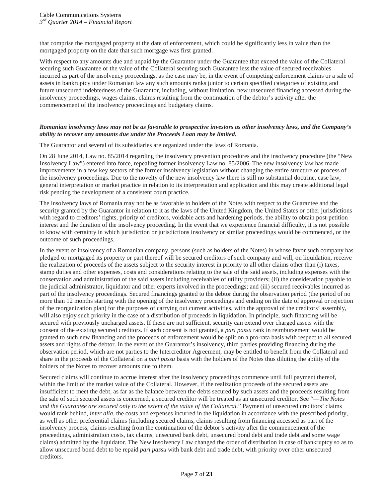that comprise the mortgaged property at the date of enforcement, which could be significantly less in value than the mortgaged property on the date that such mortgage was first granted.

With respect to any amounts due and unpaid by the Guarantor under the Guarantee that exceed the value of the Collateral securing such Guarantee or the value of the Collateral securing such Guarantee less the value of secured receivables incurred as part of the insolvency proceedings, as the case may be, in the event of competing enforcement claims or a sale of assets in bankruptcy under Romanian law any such amounts ranks junior to certain specified categories of existing and future unsecured indebtedness of the Guarantor, including, without limitation, new unsecured financing accessed during the insolvency proceedings, wages claims, claims resulting from the continuation of the debtor's activity after the commencement of the insolvency proceedings and budgetary claims.

# *Romanian insolvency laws may not be as favorable to prospective investors as other insolvency laws, and the Company's ability to recover any amounts due under the Proceeds Loan may be limited.*

The Guarantor and several of its subsidiaries are organized under the laws of Romania.

On 28 June 2014, Law no. 85/2014 regarding the insolvency prevention procedures and the insolvency procedure (the "New Insolvency Law") entered into force, repealing former insolvency Law no. 85/2006. The new insolvency law has made improvements in a few key sectors of the former insolvency legislation without changing the entire structure or process of the insolvency proceedings. Due to the novelty of the new insolvency law there is still no substantial doctrine, case law, general interpretation or market practice in relation to its interpretation and application and this may create additional legal risk pending the development of a consistent court practice.

The insolvency laws of Romania may not be as favorable to holders of the Notes with respect to the Guarantee and the security granted by the Guarantor in relation to it as the laws of the United Kingdom, the United States or other jurisdictions with regard to creditors' rights, priority of creditors, voidable acts and hardening periods, the ability to obtain post-petition interest and the duration of the insolvency proceeding. In the event that we experience financial difficulty, it is not possible to know with certainty in which jurisdiction or jurisdictions insolvency or similar proceedings would be commenced, or the outcome of such proceedings.

In the event of insolvency of a Romanian company, persons (such as holders of the Notes) in whose favor such company has pledged or mortgaged its property or part thereof will be secured creditors of such company and will, on liquidation, receive the realization of proceeds of the assets subject to the security interest in priority to all other claims other than (i) taxes, stamp duties and other expenses, costs and considerations relating to the sale of the said assets, including expenses with the conservation and administration of the said assets including receivables of utility providers; (ii) the consideration payable to the judicial administrator, liquidator and other experts involved in the proceedings; and (iii) secured receivables incurred as part of the insolvency proceedings. Secured financings granted to the debtor during the observation period (the period of no more than 12 months starting with the opening of the insolvency proceedings and ending on the date of approval or rejection of the reorganization plan) for the purposes of carrying out current activities, with the approval of the creditors' assembly, will also enjoy such priority in the case of a distribution of proceeds in liquidation. In principle, such financing will be secured with previously uncharged assets. If these are not sufficient, security can extend over charged assets with the consent of the existing secured creditors. If such consent is not granted, a *pari passu* rank in reimbursement would be granted to such new financing and the proceeds of enforcement would be split on a pro-rata basis with respect to all secured assets and rights of the debtor. In the event of the Guarantor's insolvency, third parties providing financing during the observation period, which are not parties to the Intercreditor Agreement, may be entitled to benefit from the Collateral and share in the proceeds of the Collateral on a *pari passu* basis with the holders of the Notes thus diluting the ability of the holders of the Notes to recover amounts due to them.

Secured claims will continue to accrue interest after the insolvency proceedings commence until full payment thereof, within the limit of the market value of the Collateral. However, if the realization proceeds of the secured assets are insufficient to meet the debt, as far as the balance between the debts secured by such assets and the proceeds resulting from the sale of such secured assets is concerned, a secured creditor will be treated as an unsecured creditor. See "—*The Notes and the Guarantee are secured only to the extent of the value of the Collateral.*" Payment of unsecured creditors' claims would rank behind, *inter alia*, the costs and expenses incurred in the liquidation in accordance with the prescribed priority, as well as other preferential claims (including secured claims, claims resulting from financing accessed as part of the insolvency process, claims resulting from the continuation of the debtor's activity after the commencement of the proceedings, administration costs, tax claims, unsecured bank debt, unsecured bond debt and trade debt and some wage claims) admitted by the liquidator. The New Insolvency Law changed the order of distribution in case of bankruptcy so as to allow unsecured bond debt to be repaid *pari passu* with bank debt and trade debt, with priority over other unsecured creditors.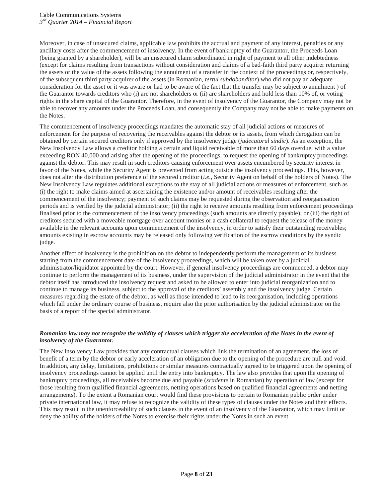Moreover, in case of unsecured claims, applicable law prohibits the accrual and payment of any interest, penalties or any ancillary costs after the commencement of insolvency. In the event of bankruptcy of the Guarantor, the Proceeds Loan (being granted by a shareholder), will be an unsecured claim subordinated in right of payment to all other indebtedness (except for claims resulting from transactions without consideration and claims of a bad-faith third party acquirer returning the assets or the value of the assets following the annulment of a transfer in the context of the proceedings or, respectively, of the subsequent third party acquirer of the assets (in Romanian, *tertul subdobanditor*) who did not pay an adequate consideration for the asset or it was aware or had to be aware of the fact that the transfer may be subject to annulment ) of the Guarantor towards creditors who (i) are not shareholders or (ii) are shareholders and hold less than 10% of, or voting rights in the share capital of the Guarantor. Therefore, in the event of insolvency of the Guarantor, the Company may not be able to recover any amounts under the Proceeds Loan, and consequently the Company may not be able to make payments on the Notes.

The commencement of insolvency proceedings mandates the automatic stay of all judicial actions or measures of enforcement for the purpose of recovering the receivables against the debtor or its assets, from which derogation can be obtained by certain secured creditors only if approved by the insolvency judge (*judecatorul sindic*). As an exception, the New Insolvency Law allows a creditor holding a certain and liquid receivable of more than 60 days overdue, with a value exceeding RON 40,000 and arising after the opening of the proceedings, to request the opening of bankruptcy proceedings against the debtor. This may result in such creditors causing enforcement over assets encumbered by security interest in favor of the Notes, while the Security Agent is prevented from acting outside the insolvency proceedings. This, however, does not alter the distribution preference of the secured creditor (*i.e*., Security Agent on behalf of the holders of Notes). The New Insolvency Law regulates additional exceptions to the stay of all judicial actions or measures of enforcement, such as (i) the right to make claims aimed at ascertaining the existence and/or amount of receivables resulting after the commencement of the insolvency; payment of such claims may be requested during the observation and reorganisation periods and is verified by the judicial administrator; (ii) the right to receive amounts resulting from enforcement proceedings finalised prior to the commencement of the insolvency proceedings (such amounts are directly payable); or (iii) the right of creditors secured with a moveable mortgage over account monies or a cash collateral to request the release of the money available in the relevant accounts upon commencement of the insolvency, in order to satisfy their outstanding receivables; amounts existing in escrow accounts may be released only following verification of the escrow conditions by the syndic judge.

Another effect of insolvency is the prohibition on the debtor to independently perform the management of its business starting from the commencement date of the insolvency proceedings, which will be taken over by a judicial administrator/liquidator appointed by the court. However, if general insolvency proceedings are commenced, a debtor may continue to perform the management of its business, under the supervision of the judicial administrator in the event that the debtor itself has introduced the insolvency request and asked to be allowed to enter into judicial reorganization and to continue to manage its business, subject to the approval of the creditors' assembly and the insolvency judge. Certain measures regarding the estate of the debtor, as well as those intended to lead to its reorganisation, including operations which fall under the ordinary course of business, require also the prior authorisation by the judicial administrator on the basis of a report of the special administrator.

# *Romanian law may not recognize the validity of clauses which trigger the acceleration of the Notes in the event of insolvency of the Guarantor.*

The New Insolvency Law provides that any contractual clauses which link the termination of an agreement, the loss of benefit of a term by the debtor or early acceleration of an obligation due to the opening of the procedure are null and void. In addition, any delay, limitations, prohibitions or similar measures contractually agreed to be triggered upon the opening of insolvency proceedings cannot be applied until the entry into bankruptcy. The law also provides that upon the opening of bankruptcy proceedings, all receivables become due and payable (*scadente* in Romanian) by operation of law (except for those resulting from qualified financial agreements, netting operations based on qualified financial agreements and netting arrangements). To the extent a Romanian court would find these provisions to pertain to Romanian public order under private international law, it may refuse to recognize the validity of these types of clauses under the Notes and their effects. This may result in the unenforceability of such clauses in the event of an insolvency of the Guarantor, which may limit or deny the ability of the holders of the Notes to exercise their rights under the Notes in such an event.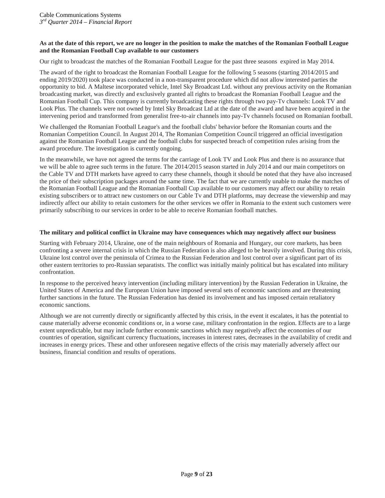# **As at the date of this report, we are no longer in the position to make the matches of the Romanian Football League and the Romanian Football Cup available to our customers**

Our right to broadcast the matches of the Romanian Football League for the past three seasons expired in May 2014.

The award of the right to broadcast the Romanian Football League for the following 5 seasons (starting 2014/2015 and ending 2019/2020) took place was conducted in a non-transparent procedure which did not allow interested parties the opportunity to bid. A Maltese incorporated vehicle, Intel Sky Broadcast Ltd. without any previous activity on the Romanian broadcasting market, was directly and exclusively granted all rights to broadcast the Romanian Football League and the Romanian Football Cup. This company is currently broadcasting these rights through two pay-Tv channels: Look TV and Look Plus. The channels were not owned by Intel Sky Broadcast Ltd at the date of the award and have been acquired in the intervening period and transformed from generalist free-to-air channels into pay-Tv channels focused on Romanian football.

We challenged the Romanian Football League's and the football clubs' behavior before the Romanian courts and the Romanian Competition Council. In August 2014, The Romanian Competition Council triggered an official investigation against the Romanian Football League and the football clubs for suspected breach of competition rules arising from the award procedure. The investigation is currently ongoing.

In the meanwhile, we have not agreed the terms for the carriage of Look TV and Look Plus and there is no assurance that we will be able to agree such terms in the future. The 2014/2015 season started in July 2014 and our main competitors on the Cable TV and DTH markets have agreed to carry these channels, though it should be noted that they have also increased the price of their subscription packages around the same time. The fact that we are currently unable to make the matches of the Romanian Football League and the Romanian Football Cup available to our customers may affect our ability to retain existing subscribers or to attract new customers on our Cable Tv and DTH platforms, may decrease the viewership and may indirectly affect our ability to retain customers for the other services we offer in Romania to the extent such customers were primarily subscribing to our services in order to be able to receive Romanian football matches.

#### **The military and political conflict in Ukraine may have consequences which may negatively affect our business**

Starting with February 2014, Ukraine, one of the main neighbours of Romania and Hungary, our core markets, has been confronting a severe internal crisis in which the Russian Federation is also alleged to be heavily involved. During this crisis, Ukraine lost control over the peninsula of Crimea to the Russian Federation and lost control over a significant part of its other eastern territories to pro-Russian separatists. The conflict was initially mainly political but has escalated into military confrontation.

In response to the perceived heavy intervention (including military intervention) by the Russian Federation in Ukraine, the United States of America and the European Union have imposed several sets of economic sanctions and are threatening further sanctions in the future. The Russian Federation has denied its involvement and has imposed certain retaliatory economic sanctions.

Although we are not currently directly or significantly affected by this crisis, in the event it escalates, it has the potential to cause materially adverse economic conditions or, in a worse case, military confrontation in the region. Effects are to a large extent unpredictable, but may include further economic sanctions which may negatively affect the economies of our countries of operation, significant currency fluctuations, increases in interest rates, decreases in the availability of credit and increases in energy prices. These and other unforeseen negative effects of the crisis may materially adversely affect our business, financial condition and results of operations.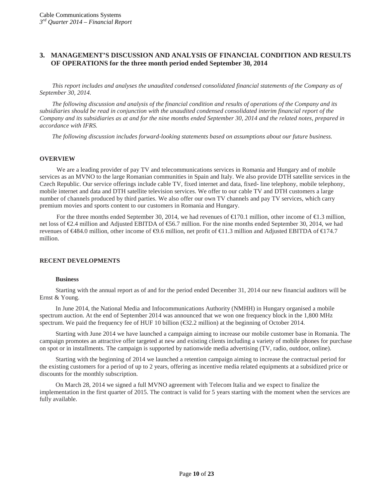# <span id="page-9-0"></span>**3. MANAGEMENT'S DISCUSSION AND ANALYSIS OF FINANCIAL CONDITION AND RESULTS OF OPERATIONS for the three month period ended September 30, 2014**

*This report includes and analyses the unaudited condensed consolidated financial statements of the Company as of September 30, 2014.*

*The following discussion and analysis of the financial condition and results of operations of the Company and its subsidiaries should be read in conjunction with the unaudited condensed consolidated interim financial report of the Company and its subsidiaries as at and for the nine months ended September 30, 2014 and the related notes, prepared in accordance with IFRS.*

*The following discussion includes forward-looking statements based on assumptions about our future business.*

#### **OVERVIEW**

We are a leading provider of pay TV and telecommunications services in Romania and Hungary and of mobile services as an MVNO to the large Romanian communities in Spain and Italy. We also provide DTH satellite services in the Czech Republic. Our service offerings include cable TV, fixed internet and data, fixed- line telephony, mobile telephony, mobile internet and data and DTH satellite television services. We offer to our cable TV and DTH customers a large number of channels produced by third parties. We also offer our own TV channels and pay TV services, which carry premium movies and sports content to our customers in Romania and Hungary.

For the three months ended September 30, 2014, we had revenues of  $\in$  70.1 million, other income of  $\in$ 1.3 million, net loss of €2.4 million and Adjusted EBITDA of €56.7 million. For the nine months ended September 30, 2014, we had revenues of €484.0 million, other income of €9.6 million, net profit of €11.3 million and Adjusted EBITDA of €174.7 million.

#### **RECENT DEVELOPMENTS**

#### **Business**

Starting with the annual report as of and for the period ended December 31, 2014 our new financial auditors will be Ernst & Young.

In June 2014, the National Media and Infocommunications Authority (NMHH) in Hungary organised a mobile spectrum auction. At the end of September 2014 was announced that we won one frequency block in the 1,800 MHz spectrum. We paid the frequency fee of HUF 10 billion ( $\text{\textless}2.2$  million) at the beginning of October 2014.

Starting with June 2014 we have launched a campaign aiming to increase our mobile customer base in Romania. The campaign promotes an attractive offer targeted at new and existing clients including a variety of mobile phones for purchase on spot or in installments. The campaign is supported by nationwide media advertising (TV, radio, outdoor, online).

Starting with the beginning of 2014 we launched a retention campaign aiming to increase the contractual period for the existing customers for a period of up to 2 years, offering as incentive media related equipments at a subsidized price or discounts for the monthly subscription.

On March 28, 2014 we signed a full MVNO agreement with Telecom Italia and we expect to finalize the implementation in the first quarter of 2015. The contract is valid for 5 years starting with the moment when the services are fully available.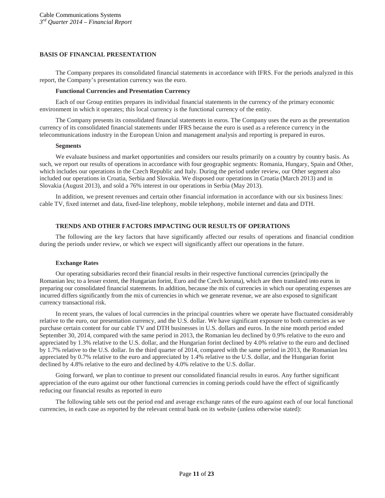#### **BASIS OF FINANCIAL PRESENTATION**

The Company prepares its consolidated financial statements in accordance with IFRS. For the periods analyzed in this report, the Company's presentation currency was the euro.

#### **Functional Currencies and Presentation Currency**

Each of our Group entities prepares its individual financial statements in the currency of the primary economic environment in which it operates; this local currency is the functional currency of the entity.

The Company presents its consolidated financial statements in euros. The Company uses the euro as the presentation currency of its consolidated financial statements under IFRS because the euro is used as a reference currency in the telecommunications industry in the European Union and management analysis and reporting is prepared in euros.

#### **Segments**

We evaluate business and market opportunities and considers our results primarily on a country by country basis. As such, we report our results of operations in accordance with four geographic segments: Romania, Hungary, Spain and Other, which includes our operations in the Czech Republic and Italy. During the period under review, our Other segment also included our operations in Croatia, Serbia and Slovakia. We disposed our operations in Croatia (March 2013) and in Slovakia (August 2013), and sold a 76% interest in our operations in Serbia (May 2013).

In addition, we present revenues and certain other financial information in accordance with our six business lines: cable TV, fixed internet and data, fixed-line telephony, mobile telephony, mobile internet and data and DTH.

# **TRENDS AND OTHER FACTORS IMPACTING OUR RESULTS OF OPERATIONS**

The following are the key factors that have significantly affected our results of operations and financial condition during the periods under review, or which we expect will significantly affect our operations in the future.

# **Exchange Rates**

Our operating subsidiaries record their financial results in their respective functional currencies (principally the Romanian leu; to a lesser extent, the Hungarian forint, Euro and the Czech koruna), which are then translated into euros in preparing our consolidated financial statements. In addition, because the mix of currencies in which our operating expenses are incurred differs significantly from the mix of currencies in which we generate revenue, we are also exposed to significant currency transactional risk.

In recent years, the values of local currencies in the principal countries where we operate have fluctuated considerably relative to the euro, our presentation currency, and the U.S. dollar. We have significant exposure to both currencies as we purchase certain content for our cable TV and DTH businesses in U.S. dollars and euros. In the nine month period ended September 30, 2014, compared with the same period in 2013, the Romanian leu declined by 0.9% relative to the euro and appreciated by 1.3% relative to the U.S. dollar, and the Hungarian forint declined by 4.0% relative to the euro and declined by 1.7% relative to the U.S. dollar. In the third quarter of 2014, compared with the same period in 2013, the Romanian leu appreciated by 0.7% relative to the euro and appreciated by 1.4% relative to the U.S. dollar, and the Hungarian forint declined by 4.8% relative to the euro and declined by 4.0% relative to the U.S. dollar.

Going forward, we plan to continue to present our consolidated financial results in euros. Any further significant appreciation of the euro against our other functional currencies in coming periods could have the effect of significantly reducing our financial results as reported in euro

The following table sets out the period end and average exchange rates of the euro against each of our local functional currencies, in each case as reported by the relevant central bank on its website (unless otherwise stated):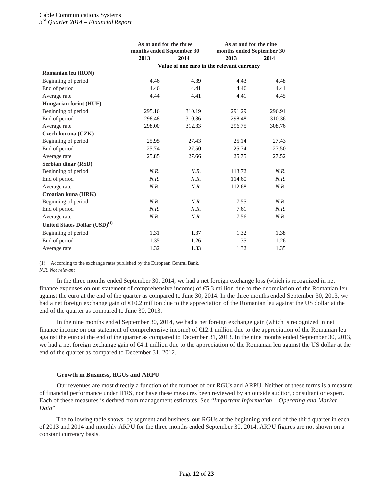# Cable Communications Systems

*3rd Quarter 2014 – Financial Report*

|                                           | As at and for the three<br>months ended September 30 |        | As at and for the nine<br>months ended September 30 |        |  |  |
|-------------------------------------------|------------------------------------------------------|--------|-----------------------------------------------------|--------|--|--|
|                                           | 2013                                                 | 2014   | 2013                                                | 2014   |  |  |
|                                           | Value of one euro in the relevant currency           |        |                                                     |        |  |  |
| Romanian leu (RON)                        |                                                      |        |                                                     |        |  |  |
| Beginning of period                       | 4.46                                                 | 4.39   | 4.43                                                | 4.48   |  |  |
| End of period                             | 4.46                                                 | 4.41   | 4.46                                                | 4.41   |  |  |
| Average rate                              | 4.44                                                 | 4.41   | 4.41                                                | 4.45   |  |  |
| <b>Hungarian forint (HUF)</b>             |                                                      |        |                                                     |        |  |  |
| Beginning of period                       | 295.16                                               | 310.19 | 291.29                                              | 296.91 |  |  |
| End of period                             | 298.48                                               | 310.36 | 298.48                                              | 310.36 |  |  |
| Average rate                              | 298.00                                               | 312.33 | 296.75                                              | 308.76 |  |  |
| Czech koruna (CZK)                        |                                                      |        |                                                     |        |  |  |
| Beginning of period                       | 25.95                                                | 27.43  | 25.14                                               | 27.43  |  |  |
| End of period                             | 25.74                                                | 27.50  | 25.74                                               | 27.50  |  |  |
| Average rate                              | 25.85                                                | 27.66  | 25.75                                               | 27.52  |  |  |
| Serbian dinar (RSD)                       |                                                      |        |                                                     |        |  |  |
| Beginning of period                       | N.R.                                                 | N.R.   | 113.72                                              | N.R.   |  |  |
| End of period                             | N.R.                                                 | N.R.   | 114.60                                              | N.R.   |  |  |
| Average rate                              | N.R.                                                 | N.R.   | 112.68                                              | N.R.   |  |  |
| Croatian kuna (HRK)                       |                                                      |        |                                                     |        |  |  |
| Beginning of period                       | N.R.                                                 | N.R.   | 7.55                                                | N.R.   |  |  |
| End of period                             | N.R.                                                 | N.R.   | 7.61                                                | N.R.   |  |  |
| Average rate                              | N.R.                                                 | N.R.   | 7.56                                                | N.R.   |  |  |
| United States Dollar (USD) <sup>(1)</sup> |                                                      |        |                                                     |        |  |  |
| Beginning of period                       | 1.31                                                 | 1.37   | 1.32                                                | 1.38   |  |  |
| End of period                             | 1.35                                                 | 1.26   | 1.35                                                | 1.26   |  |  |
| Average rate                              | 1.32                                                 | 1.33   | 1.32                                                | 1.35   |  |  |

(1) According to the exchange rates published by the European Central Bank. *N.R. Not relevant*

In the three months ended September 30, 2014, we had a net foreign exchange loss (which is recognized in net finance expenses on our statement of comprehensive income) of €5.3 million due to the depreciation of the Romanian leu against the euro at the end of the quarter as compared to June 30, 2014. In the three months ended September 30, 2013, we had a net foreign exchange gain of €10.2 million due to the appreciation of the Romanian leu against the US dollar at the end of the quarter as compared to June 30, 2013.

In the nine months ended September 30, 2014, we had a net foreign exchange gain (which is recognized in net finance income on our statement of comprehensive income) of  $E$ 12.1 million due to the appreciation of the Romanian leu against the euro at the end of the quarter as compared to December 31, 2013. In the nine months ended September 30, 2013, we had a net foreign exchange gain of €4.1 million due to the appreciation of the Romanian leu against the US dollar at the end of the quarter as compared to December 31, 2012.

# **Growth in Business, RGUs and ARPU**

Our revenues are most directly a function of the number of our RGUs and ARPU. Neither of these terms is a measure of financial performance under IFRS, nor have these measures been reviewed by an outside auditor, consultant or expert. Each of these measures is derived from management estimates. See "*Important Information – Operating and Market Data*"

The following table shows, by segment and business, our RGUs at the beginning and end of the third quarter in each of 2013 and 2014 and monthly ARPU for the three months ended September 30, 2014. ARPU figures are not shown on a constant currency basis.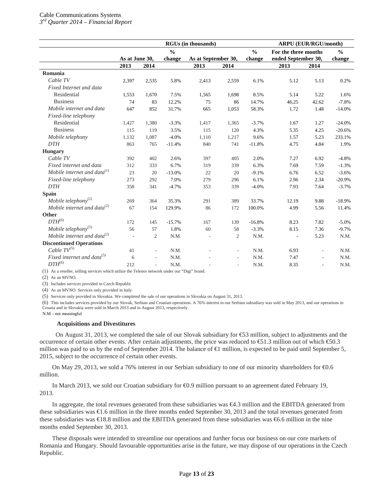*3rd Quarter 2014 – Financial Report*

|                                        | <b>RGUs (in thousands)</b> |                          |               |                     | <b>ARPU (EUR/RGU/month)</b> |               |                      |                          |               |
|----------------------------------------|----------------------------|--------------------------|---------------|---------------------|-----------------------------|---------------|----------------------|--------------------------|---------------|
|                                        |                            |                          | $\frac{0}{0}$ |                     |                             | $\frac{0}{0}$ | For the three months |                          | $\frac{0}{0}$ |
|                                        | As at June 30,             |                          | change        | As at September 30, |                             | change        | ended September 30,  |                          | change        |
|                                        | 2013                       | 2014                     |               | 2013                | 2014                        |               | 2013                 | 2014                     |               |
| Romania                                |                            |                          |               |                     |                             |               |                      |                          |               |
| Cable TV                               | 2,397                      | 2,535                    | 5.8%          | 2,413               | 2,559                       | 6.1%          | 5.12                 | 5.13                     | 0.2%          |
| Fixed Internet and data                |                            |                          |               |                     |                             |               |                      |                          |               |
| Residential                            | 1,553                      | 1,670                    | 7.5%          | 1,565               | 1,698                       | 8.5%          | 5.14                 | 5.22                     | 1.6%          |
| <b>Business</b>                        | 74                         | 83                       | 12.2%         | 75                  | 86                          | 14.7%         | 46.25                | 42.62                    | $-7.8%$       |
| Mobile internet and data               | 647                        | 852                      | 31.7%         | 665                 | 1,053                       | 58.3%         | 1.72                 | 1.48                     | $-14.0%$      |
| Fixed-line telephony                   |                            |                          |               |                     |                             |               |                      |                          |               |
| Residential                            | 1,427                      | 1,380                    | $-3.3%$       | 1,417               | 1,365                       | $-3.7%$       | 1.67                 | 1.27                     | $-24.0%$      |
| <b>Business</b>                        | 115                        | 119                      | 3.5%          | 115                 | 120                         | 4.3%          | 5.35                 | 4.25                     | $-20.6%$      |
| Mobile telephony                       | 1,132                      | 1,087                    | $-4.0%$       | 1,110               | 1,217                       | 9.6%          | 1.57                 | 5.23                     | 233.1%        |
| <b>DTH</b>                             | 863                        | 765                      | $-11.4%$      | 840                 | 741                         | $-11.8%$      | 4.75                 | 4.84                     | 1.9%          |
| <b>Hungary</b>                         |                            |                          |               |                     |                             |               |                      |                          |               |
| Cable TV                               | 392                        | 402                      | 2.6%          | 397                 | 405                         | 2.0%          | 7.27                 | 6.92                     | $-4.8%$       |
| Fixed internet and data                | 312                        | 333                      | 6.7%          | 319                 | 339                         | 6.3%          | 7.69                 | 7.59                     | $-1.3%$       |
| Mobile internet and data $^{(1)}$      | 23                         | 20                       | $-13.0%$      | 22                  | 20                          | $-9.1%$       | 6.76                 | 6.52                     | $-3.6%$       |
| Fixed-line telephony                   | 273                        | 292                      | 7.0%          | 279                 | 296                         | 6.1%          | 2.96                 | 2.34                     | $-20.9%$      |
| <b>DTH</b>                             | 358                        | 341                      | $-4.7%$       | 353                 | 339                         | $-4.0%$       | 7.93                 | 7.64                     | $-3.7%$       |
| Spain                                  |                            |                          |               |                     |                             |               |                      |                          |               |
| Mobile telephony $(2)$                 | 269                        | 364                      | 35.3%         | 291                 | 389                         | 33.7%         | 12.19                | 9.88                     | $-18.9%$      |
| Mobile internet and data $^{(2)}$      | 67                         | 154                      | 129.9%        | 86                  | 172                         | 100.0%        | 4.99                 | 5.56                     | 11.4%         |
| Other                                  |                            |                          |               |                     |                             |               |                      |                          |               |
| $DTH^{(6)}$                            | 172                        | 145                      | $-15.7%$      | 167                 | 139                         | $-16.8%$      | 8.23                 | 7.82                     | $-5.0%$       |
| Mobile telephony $(5)$                 | 56                         | 57                       | 1.8%          | 60                  | 58                          | $-3.3%$       | 8.15                 | 7.36                     | $-9.7%$       |
| Mobile internet and data $^{(2)}$      |                            | $\overline{2}$           | N.M.          |                     | $\mathfrak{2}$              | N.M.          |                      | 5.23                     | N.M.          |
| <b>Discontinued Operations</b>         |                            |                          |               |                     |                             |               |                      |                          |               |
| Cable $TV^{(5)}$                       | 41                         | $\overline{\phantom{a}}$ | N.M.          |                     | $\overline{\phantom{a}}$    | N.M.          | 6.93                 | $\overline{\phantom{a}}$ | N.M.          |
| Fixed internet and data <sup>(5)</sup> | 6                          | ä,                       | N.M.          |                     |                             | N.M.          | 7.47                 |                          | N.M.          |
| $DTH^{(6)}$                            | 212                        | L,                       | N.M.          |                     | $\sim$                      | N.M.          | 8.35                 | $\overline{\phantom{a}}$ | N.M.          |

(1) As a reseller, selling services which utilize the Telenor network under our "Digi" brand.

(2) As an MVNO.

(3) Includes services provided in Czech Republic

(4) As an MVNO. Services only provided in Italy.

(5) Services only provided in Slovakia. We completed the sale of our operations in Slovakia on August 31, 2013.

(6) This includes services provided by our Slovak, Serbian and Croatian operations. A 76% interest in our Serbian subsidiary was sold in May 2013, and our operations in Croatia and in Slovakia were sold in March 2013 and in August 2013, respectively.

N.M – not meaningful

#### **Acquisitions and Divestitures**

On August 31, 2013, we completed the sale of our Slovak subsidiary for €53 million, subject to adjustments and the occurrence of certain other events. After certain adjustments, the price was reduced to  $\text{\textsterling}1.3$  million out of which  $\text{\textsterling}0.3$ million was paid to us by the end of September 2014. The balance of  $\bigoplus$  million, is expected to be paid until September 5, 2015, subject to the occurrence of certain other events.

On May 29, 2013, we sold a 76% interest in our Serbian subsidiary to one of our minority shareholders for €0.6 million.

In March 2013, we sold our Croatian subsidiary for €0.9 million pursuant to an agreement dated February 19, 2013.

In aggregate, the total revenues generated from these subsidiaries was €4.3 million and the EBITDA generated from these subsidiaries was €1.6 million in the three months ended September 30, 2013 and the total revenues generated from these subsidiaries was €18.8 million and the EBITDA generated from these subsidiaries was €6.6 million in the nine months ended September 30, 2013.

These disposals were intended to streamline our operations and further focus our business on our core markets of Romania and Hungary. Should favourable opportunities arise in the future, we may dispose of our operations in the Czech Republic.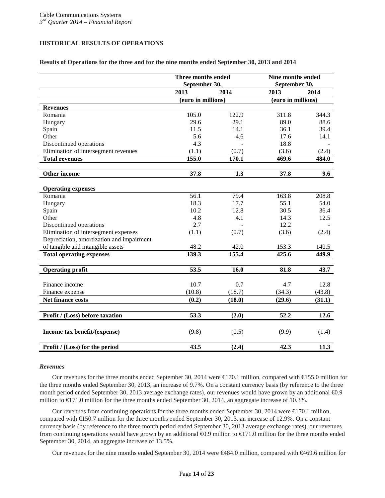# **HISTORICAL RESULTS OF OPERATIONS**

#### **Results of Operations for the three and for the nine months ended September 30, 2013 and 2014**

|                                           | Three months ended<br>September 30, |        | Nine months ended<br>September 30, |        |
|-------------------------------------------|-------------------------------------|--------|------------------------------------|--------|
|                                           | 2013                                | 2014   | 2013                               | 2014   |
|                                           | (euro in millions)                  |        | (euro in millions)                 |        |
| <b>Revenues</b>                           |                                     |        |                                    |        |
| Romania                                   | 105.0                               | 122.9  | 311.8                              | 344.3  |
| Hungary                                   | 29.6                                | 29.1   | 89.0                               | 88.6   |
| Spain                                     | 11.5                                | 14.1   | 36.1                               | 39.4   |
| Other                                     | 5.6                                 | 4.6    | 17.6                               | 14.1   |
| Discontinued operations                   | 4.3                                 |        | 18.8                               |        |
| Elimination of intersegment revenues      | (1.1)                               | (0.7)  | (3.6)                              | (2.4)  |
| <b>Total revenues</b>                     | 155.0                               | 170.1  | 469.6                              | 484.0  |
| Other income                              | 37.8                                | 1.3    | 37.8                               | 9.6    |
|                                           |                                     |        |                                    |        |
| <b>Operating expenses</b>                 |                                     |        |                                    |        |
| Romania                                   | 56.1                                | 79.4   | 163.8                              | 208.8  |
| Hungary                                   | 18.3                                | 17.7   | 55.1                               | 54.0   |
| Spain                                     | 10.2                                | 12.8   | 30.5                               | 36.4   |
| Other                                     | 4.8                                 | 4.1    | 14.3                               | 12.5   |
| Discontinued operations                   | 2.7                                 |        | 12.2                               |        |
| Elimination of intersegment expenses      | (1.1)                               | (0.7)  | (3.6)                              | (2.4)  |
| Depreciation, amortization and impairment |                                     |        |                                    |        |
| of tangible and intangible assets         | 48.2                                | 42.0   | 153.3                              | 140.5  |
| <b>Total operating expenses</b>           | 139.3                               | 155.4  | 425.6                              | 449.9  |
|                                           |                                     |        |                                    |        |
| <b>Operating profit</b>                   | 53.5                                | 16.0   | 81.8                               | 43.7   |
| Finance income                            | 10.7                                | 0.7    | 4.7                                | 12.8   |
| Finance expense                           | (10.8)                              | (18.7) | (34.3)                             | (43.8) |
| Net finance costs                         | (0.2)                               | (18.0) | (29.6)                             | (31.1) |
|                                           |                                     |        |                                    |        |
| Profit / (Loss) before taxation           | 53.3                                | (2.0)  | 52.2                               | 12.6   |
| Income tax benefit/(expense)              | (9.8)                               | (0.5)  | (9.9)                              | (1.4)  |
| Profit / (Loss) for the period            | 43.5                                | (2.4)  | 42.3                               | 11.3   |

#### *Revenues*

Our revenues for the three months ended September 30, 2014 were €170.1 million, compared with €155.0 million for the three months ended September 30, 2013, an increase of 9.7%. On a constant currency basis (by reference to the three month period ended September 30, 2013 average exchange rates), our revenues would have grown by an additional €0.9 million to €171.0 million for the three months ended September 30, 2014, an aggregate increase of 10.3%.

Our revenues from continuing operations for the three months ended September 30, 2014 were €170.1 million, compared with €150.7 million for the three months ended September 30, 2013, an increase of 12.9%. On a constant currency basis (by reference to the three month period ended September 30, 2013 average exchange rates), our revenues from continuing operations would have grown by an additional  $\Theta$ . 9 million to  $\Theta$  71.0 million for the three months ended September 30, 2014, an aggregate increase of 13.5%.

Our revenues for the nine months ended September 30, 2014 were €484.0 million, compared with €469.6 million for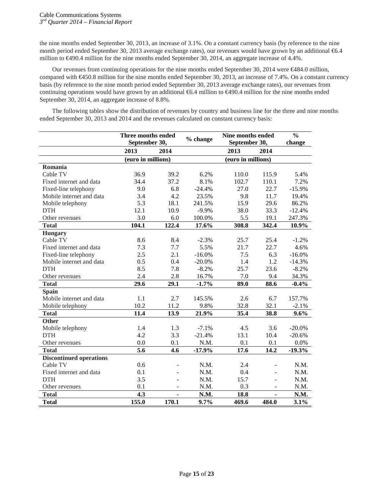the nine months ended September 30, 2013, an increase of 3.1%. On a constant currency basis (by reference to the nine month period ended September 30, 2013 average exchange rates), our revenues would have grown by an additional €6.4 million to €490.4 million for the nine months ended September 30, 2014, an aggregate increase of 4.4%.

Our revenues from continuing operations for the nine months ended September 30, 2014 were €484.0 million, compared with €450.8 million for the nine months ended September 30, 2013, an increase of 7.4%. On a constant currency basis (by reference to the nine month period ended September 30, 2013 average exchange rates), our revenues from continuing operations would have grown by an additional €6.4 million to €490.4 million for the nine months ended September 30, 2014, an aggregate increase of 8.8%.

The following tables show the distribution of revenues by country and business line for the three and nine months ended September 30, 2013 and 2014 and the revenues calculated on constant currency basis:

|                                | Three months ended<br>September 30, |                    | % change | Nine months ended<br>September 30, |                          | $\frac{0}{0}$<br>change |
|--------------------------------|-------------------------------------|--------------------|----------|------------------------------------|--------------------------|-------------------------|
|                                | 2013                                | 2014               |          | 2013                               | 2014                     |                         |
|                                |                                     | (euro in millions) |          | (euro in millions)                 |                          |                         |
| Romania                        |                                     |                    |          |                                    |                          |                         |
| Cable TV                       | 36.9                                | 39.2               | 6.2%     | 110.0                              | 115.9                    | 5.4%                    |
| Fixed internet and data        | 34.4                                | 37.2               | 8.1%     | 102.7                              | 110.1                    | 7.2%                    |
| Fixed-line telephony           | 9.0                                 | 6.8                | $-24.4%$ | 27.0                               | 22.7                     | $-15.9%$                |
| Mobile internet and data       | 3.4                                 | 4.2                | 23.5%    | 9.8                                | 11.7                     | 19.4%                   |
| Mobile telephony               | 5.3                                 | 18.1               | 241.5%   | 15.9                               | 29.6                     | 86.2%                   |
| <b>DTH</b>                     | 12.1                                | 10.9               | $-9.9%$  | 38.0                               | 33.3                     | $-12.4%$                |
| Other revenues                 | 3.0                                 | 6.0                | 100.0%   | 5.5                                | 19.1                     | 247.3%                  |
| <b>Total</b>                   | 104.1                               | 122.4              | 17.6%    | 308.8                              | 342.4                    | 10.9%                   |
| <b>Hungary</b>                 |                                     |                    |          |                                    |                          |                         |
| Cable TV                       | 8.6                                 | 8.4                | $-2.3%$  | 25.7                               | 25.4                     | $-1.2%$                 |
| Fixed internet and data        | 7.3                                 | 7.7                | 5.5%     | 21.7                               | 22.7                     | 4.6%                    |
| Fixed-line telephony           | 2.5                                 | 2.1                | $-16.0%$ | 7.5                                | 6.3                      | $-16.0%$                |
| Mobile internet and data       | 0.5                                 | 0.4                | $-20.0%$ | 1.4                                | 1.2                      | $-14.3%$                |
| <b>DTH</b>                     | 8.5                                 | 7.8                | $-8.2%$  | 25.7                               | 23.6                     | $-8.2%$                 |
| Other revenues                 | 2.4                                 | 2.8                | 16.7%    | 7.0                                | 9.4                      | 34.3%                   |
| <b>Total</b>                   | 29.6                                | 29.1               | $-1.7%$  | 89.0                               | 88.6                     | $-0.4%$                 |
| <b>Spain</b>                   |                                     |                    |          |                                    |                          |                         |
| Mobile internet and data       | 1.1                                 | 2.7                | 145.5%   | 2.6                                | 6.7                      | 157.7%                  |
| Mobile telephony               | 10.2                                | 11.2               | 9.8%     | 32.8                               | 32.1                     | $-2.1%$                 |
| <b>Total</b>                   | 11.4                                | 13.9               | 21.9%    | 35.4                               | 38.8                     | 9.6%                    |
| <b>Other</b>                   |                                     |                    |          |                                    |                          |                         |
| Mobile telephony               | 1.4                                 | 1.3                | $-7.1%$  | 4.5                                | 3.6                      | $-20.0%$                |
| <b>DTH</b>                     | 4.2                                 | 3.3                | $-21.4%$ | 13.1                               | 10.4                     | $-20.6%$                |
| Other revenues                 | 0.0                                 | 0.1                | N.M.     | 0.1                                | 0.1                      | 0.0%                    |
| <b>Total</b>                   | 5.6                                 | 4.6                | $-17.9%$ | 17.6                               | 14.2                     | $-19.3%$                |
| <b>Discontinued operations</b> |                                     |                    |          |                                    |                          |                         |
| Cable TV                       | 0.6                                 |                    | N.M.     | 2.4                                | ÷,                       | N.M.                    |
| Fixed internet and data        | 0.1                                 |                    | N.M.     | 0.4                                | $\overline{a}$           | N.M.                    |
| <b>DTH</b>                     | 3.5                                 |                    | N.M.     | 15.7                               | $\overline{a}$           | N.M.                    |
| Other revenues                 | 0.1                                 | ÷,                 | N.M.     | 0.3                                | $\overline{\phantom{a}}$ | N.M.                    |
| <b>Total</b>                   | 4.3                                 | ä,                 | N.M.     | 18.8                               | $\blacksquare$           | N.M.                    |
| <b>Total</b>                   | 155.0                               | 170.1              | 9.7%     | 469.6                              | 484.0                    | 3.1%                    |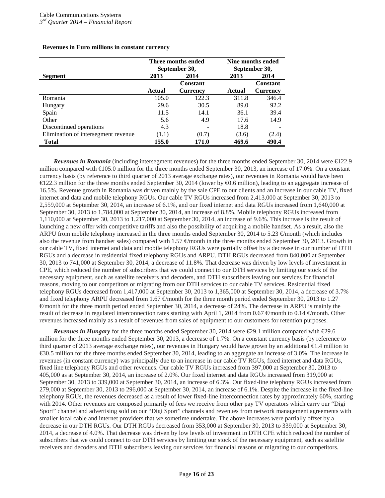|                                      | Three months ended<br>September 30, |                 |        | Nine months ended     |
|--------------------------------------|-------------------------------------|-----------------|--------|-----------------------|
| <b>Segment</b>                       | 2013                                | 2014            | 2013   | September 30,<br>2014 |
|                                      |                                     | <b>Constant</b> |        | <b>Constant</b>       |
|                                      | Actual                              | <b>Currency</b> | Actual | <b>Currency</b>       |
| Romania                              | 105.0                               | 122.3           | 311.8  | 346.4                 |
| Hungary                              | 29.6                                | 30.5            | 89.0   | 92.2                  |
| Spain                                | 11.5                                | 14.1            | 36.1   | 39.4                  |
| Other                                | 5.6                                 | 4.9             | 17.6   | 14.9                  |
| Discontinued operations              | 4.3                                 |                 | 18.8   |                       |
| Elimination of intersegment revenue. | (1.1)                               | (0.7)           | (3.6)  | (2.4)                 |
| <b>Total</b>                         | 155.0                               | 171.0           | 469.6  | 490.4                 |

#### **Revenues in Euro millions in constant currency**

*Revenues in Romania* (including intersegment revenues) for the three months ended September 30, 2014 were €122.9 million compared with €105.0 million for the three months ended September 30, 2013, an increase of 17.0%. On a constant currency basis (by reference to third quarter of 2013 average exchange rates), our revenues in Romania would have been €122.3 million for the three months ended September 30, 2014 (lower by €0.6 million), leading to an aggregate increase of 16.5%. Revenue growth in Romania was driven mainly by the sale CPE to our clients and an increase in our cable TV, fixed internet and data and mobile telephony RGUs. Our cable TV RGUs increased from 2,413,000 at September 30, 2013 to 2,559,000 at September 30, 2014, an increase of 6.1%, and our fixed internet and data RGUs increased from 1,640,000 at September 30, 2013 to 1,784,000 at September 30, 2014, an increase of 8.8%. Mobile telephony RGUs increased from 1,110,000 at September 30, 2013 to 1,217,000 at September 30, 2014, an increase of 9.6%. This increase is the result of launching a new offer with competitive tariffs and also the possibility of acquiring a mobile handset. As a result, also the ARPU from mobile telephony increased in the three months ended September 30, 2014 to 5.23  $\in$ month (which includes also the revenue from handset sales) compared with 1.57  $\in$ month in the three months ended September 30, 2013. Growth in our cable TV, fixed internet and data and mobile telephony RGUs were partially offset by a decrease in our number of DTH RGUs and a decrease in residential fixed telephony RGUs and ARPU. DTH RGUs decreased from 840,000 at September 30, 2013 to 741,000 at September 30, 2014, a decrease of 11.8%. That decrease was driven by low levels of investment in CPE, which reduced the number of subscribers that we could connect to our DTH services by limiting our stock of the necessary equipment, such as satellite receivers and decoders, and DTH subscribers leaving our services for financial reasons, moving to our competitors or migrating from our DTH services to our cable TV services. Residential fixed telephony RGUs decreased from 1,417,000 at September 30, 2013 to 1,365,000 at September 30, 2014, a decrease of 3.7% and fixed telephony ARPU decreased from 1.67 €/month for the three month period ended September 30, 2013 to 1.27  $\epsilon$  month for the three month period ended September 30, 2014, a decrease of 24%. The decrease in ARPU is mainly the result of decrease in regulated interconnection rates starting with April 1, 2014 from 0.67  $\in$ month to 0.14  $\in$ month. Other revenues increased mainly as a result of revenues from sales of equipment to our customers for retention purposes.

*Revenues in Hungary* for the three months ended September 30, 2014 were €29.1 million compared with €29.6 million for the three months ended September 30, 2013, a decrease of 1.7%. On a constant currency basis (by reference to third quarter of 2013 average exchange rates), our revenues in Hungary would have grown by an additional €1.4 million to €30.5 million for the three months ended September 30, 2014, leading to an aggregate an increase of 3.0%. The increase in revenues (in constant currency) was principally due to an increase in our cable TV RGUs, fixed internet and data RGUs, fixed line telephony RGUs and other revenues. Our cable TV RGUs increased from 397,000 at September 30, 2013 to 405,000 as at September 30, 2014, an increase of 2.0%. Our fixed internet and data RGUs increased from 319,000 at September 30, 2013 to 339,000 at September 30, 2014, an increase of 6.3%. Our fixed-line telephony RGUs increased from 279,000 at September 30, 2013 to 296,000 at September 30, 2014, an increase of 6.1%. Despite the increase in the fixed-line telephony RGUs, the revenues decreased as a result of lower fixed-line interconnection rates by approximately 60%, starting with 2014. Other revenues are composed primarily of fees we receive from other pay TV operators which carry our "Digi Sport" channel and advertising sold on our "Digi Sport" channels and revenues from network management agreements with smaller local cable and internet providers that we sometime undertake. The above increases were partially offset by a decrease in our DTH RGUs. Our DTH RGUs decreased from 353,000 at September 30, 2013 to 339,000 at September 30, 2014, a decrease of 4.0%. That decrease was driven by low levels of investment in DTH CPE which reduced the number of subscribers that we could connect to our DTH services by limiting our stock of the necessary equipment, such as satellite receivers and decoders and DTH subscribers leaving our services for financial reasons or migrating to our competitors.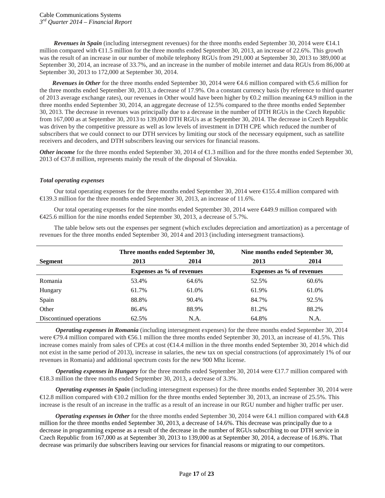*Revenues in Spain* (including intersegment revenues) for the three months ended September 30, 2014 were €14.1 million compared with €11.5 million for the three months ended September 30, 2013, an increase of 22.6%. This growth was the result of an increase in our number of mobile telephony RGUs from 291,000 at September 30, 2013 to 389,000 at September 30, 2014, an increase of 33.7%, and an increase in the number of mobile internet and data RGUs from 86,000 at September 30, 2013 to 172,000 at September 30, 2014.

*Revenues in Other* for the three months ended September 30, 2014 were €4.6 million compared with €5.6 million for the three months ended September 30, 2013, a decrease of 17.9%. On a constant currency basis (by reference to third quarter of 2013 average exchange rates), our revenues in Other would have been higher by €0.2 million meaning €4.9 million in the three months ended September 30, 2014, an aggregate decrease of 12.5% compared to the three months ended September 30, 2013. The decrease in revenues was principally due to a decrease in the number of DTH RGUs in the Czech Republic from 167,000 as at September 30, 2013 to 139,000 DTH RGUs as at September 30, 2014. The decrease in Czech Republic was driven by the competitive pressure as well as low levels of investment in DTH CPE which reduced the number of subscribers that we could connect to our DTH services by limiting our stock of the necessary equipment, such as satellite receivers and decoders, and DTH subscribers leaving our services for financial reasons.

*Other income* for the three months ended September 30, 2014 of €1.3 million and for the three months ended September 30, 2013 of €37.8 million, represents mainly the result of the disposal of Slovakia.

#### *Total operating expenses*

Our total operating expenses for the three months ended September 30, 2014 were €155.4 million compared with €139.3 million for the three months ended September 30, 2013, an increase of 11.6%.

Our total operating expenses for the nine months ended September 30, 2014 were €449.9 million compared with €425.6 million for the nine months ended September 30, 2013, a decrease of 5.7%.

|                         |       | Three months ended September 30, |       | Nine months ended September 30, |
|-------------------------|-------|----------------------------------|-------|---------------------------------|
| Segment                 | 2013  | 2014                             | 2013  | 2014                            |
|                         |       | <b>Expenses as % of revenues</b> |       | Expenses as % of revenues       |
| Romania                 | 53.4% | 64.6%                            | 52.5% | 60.6%                           |
| Hungary                 | 61.7% | 61.0%                            | 61.9% | 61.0%                           |
| Spain                   | 88.8% | 90.4%                            | 84.7% | 92.5%                           |
| Other                   | 86.4% | 88.9%                            | 81.2% | 88.2%                           |
| Discontinued operations | 62.5% | N.A.                             | 64.8% | N.A.                            |

The table below sets out the expenses per segment (which excludes depreciation and amortization) as a percentage of revenues for the three months ended September 30, 2014 and 2013 (including intersegment transactions).

*Operating expenses in Romania* (including intersegment expenses) for the three months ended September 30, 2014 were €79.4 million compared with €56.1 million the three months ended September 30, 2013, an increase of 41.5%. This increase comes mainly from sales of CPEs at cost (€14.4 million in the three months ended September 30, 2014 which did not exist in the same period of 2013), increase in salaries, the new tax on special constructions (of approximately 1% of our revenues in Romania) and additional spectrum costs for the new 900 Mhz license.

*Operating expenses in Hungary* for the three months ended September 30, 2014 were €17.7 million compared with €18.3 million the three months ended September 30, 2013, a decrease of 3.3%.

*Operating expenses in Spain* (including intersegment expenses) for the three months ended September 30, 2014 were  $\text{E12.8}$  million compared with  $\text{E10.2}$  million for the three months ended September 30, 2013, an increase of 25.5%. This increase is the result of an increase in the traffic as a result of an increase in our RGU number and higher traffic per user.

*Operating expenses in Other* for the three months ended September 30, 2014 were €4.1 million compared with €4.8 million for the three months ended September 30, 2013, a decrease of 14.6%. This decrease was principally due to a decrease in programming expense as a result of the decrease in the number of RGUs subscribing to our DTH service in Czech Republic from 167,000 as at September 30, 2013 to 139,000 as at September 30, 2014, a decrease of 16.8%. That decrease was primarily due subscribers leaving our services for financial reasons or migrating to our competitors.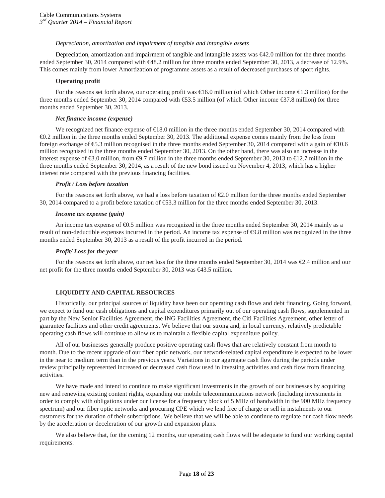# *Depreciation, amortization and impairment of tangible and intangible assets*

Depreciation, amortization and impairment of tangible and intangible assets was  $\epsilon 42.0$  million for the three months ended September 30, 2014 compared with  $\epsilon 48.2$  million for three months ended September 30, 2013, a decrease of 12.9%. This comes mainly from lower Amortization of programme assets as a result of decreased purchases of sport rights.

# **Operating profit**

For the reasons set forth above, our operating profit was €16.0 million (of which Other income €1.3 million) for the three months ended September 30, 2014 compared with €53.5 million (of which Other income €37.8 million) for three months ended September 30, 2013.

#### *Net finance income (expense)*

We recognized net finance expense of €18.0 million in the three months ended September 30, 2014 compared with €0.2 million in the three months ended September 30, 2013. The additional expense comes mainly from the loss from foreign exchange of  $\epsilon$ 5.3 million recognised in the three months ended September 30, 2014 compared with a gain of  $\epsilon$ 10.6 million recognised in the three months ended September 30, 2013. On the other hand, there was also an increase in the interest expense of  $\epsilon$ 3.0 million, from  $\epsilon$ 9.7 million in the three months ended September 30, 2013 to  $\epsilon$ 12.7 million in the three months ended September 30, 2014, as a result of the new bond issued on November 4, 2013, which has a higher interest rate compared with the previous financing facilities.

# *Profit / Loss before taxation*

For the reasons set forth above, we had a loss before taxation of €2.0 million for the three months ended September 30, 2014 compared to a profit before taxation of €53.3 million for the three months ended September 30, 2013.

# *Income tax expense (gain)*

An income tax expense of €0.5 million was recognized in the three months ended September 30, 2014 mainly as a result of non-deductible expenses incurred in the period. An income tax expense of  $\Theta$ .8 million was recognized in the three months ended September 30, 2013 as a result of the profit incurred in the period.

#### *Profit/ Loss for the year*

For the reasons set forth above, our net loss for the three months ended September 30, 2014 was €2.4 million and our net profit for the three months ended September 30, 2013 was €43.5 million.

# **LIQUIDITY AND CAPITAL RESOURCES**

Historically, our principal sources of liquidity have been our operating cash flows and debt financing. Going forward, we expect to fund our cash obligations and capital expenditures primarily out of our operating cash flows, supplemented in part by the New Senior Facilities Agreement, the ING Facilities Agreement, the Citi Facilities Agreement, other letter of guarantee facilities and other credit agreements. We believe that our strong and, in local currency, relatively predictable operating cash flows will continue to allow us to maintain a flexible capital expenditure policy.

All of our businesses generally produce positive operating cash flows that are relatively constant from month to month. Due to the recent upgrade of our fiber optic network, our network-related capital expenditure is expected to be lower in the near to medium term than in the previous years. Variations in our aggregate cash flow during the periods under review principally represented increased or decreased cash flow used in investing activities and cash flow from financing activities.

We have made and intend to continue to make significant investments in the growth of our businesses by acquiring new and renewing existing content rights, expanding our mobile telecommunications network (including investments in order to comply with obligations under our license for a frequency block of 5 MHz of bandwidth in the 900 MHz frequency spectrum) and our fiber optic networks and procuring CPE which we lend free of charge or sell in instalments to our customers for the duration of their subscriptions. We believe that we will be able to continue to regulate our cash flow needs by the acceleration or deceleration of our growth and expansion plans.

We also believe that, for the coming 12 months, our operating cash flows will be adequate to fund our working capital requirements.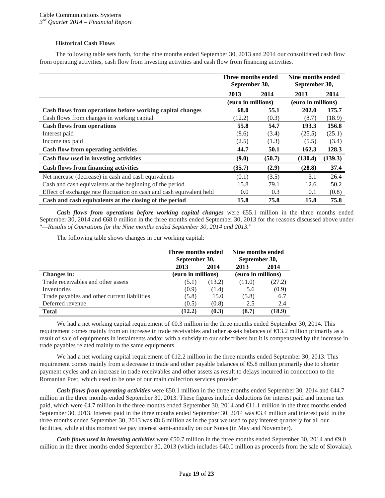# **Historical Cash Flows**

The following table sets forth, for the nine months ended September 30, 2013 and 2014 our consolidated cash flow from operating activities, cash flow from investing activities and cash flow from financing activities.

|                                                                      | Three months ended<br>September 30, |        | Nine months ended<br>September 30, |         |
|----------------------------------------------------------------------|-------------------------------------|--------|------------------------------------|---------|
|                                                                      | 2013                                | 2014   | 2013                               | 2014    |
|                                                                      | (euro in millions)                  |        | (euro in millions)                 |         |
| Cash flows from operations before working capital changes            | 68.0                                | 55.1   | 202.0                              | 175.7   |
| Cash flows from changes in working capital                           | (12.2)                              | (0.3)  | (8.7)                              | (18.9)  |
| <b>Cash flows from operations</b>                                    | 55.8                                | 54.7   | 193.3                              | 156.8   |
| Interest paid                                                        | (8.6)                               | (3.4)  | (25.5)                             | (25.1)  |
| Income tax paid                                                      | (2.5)                               | (1.3)  | (5.5)                              | (3.4)   |
| <b>Cash flow from operating activities</b>                           | 44.7                                | 50.1   | 162.3                              | 128.3   |
| Cash flow used in investing activities                               | (9.0)                               | (50.7) | (130.4)                            | (139.3) |
| <b>Cash flows from financing activities</b>                          | (35.7)                              | (2.9)  | (28.8)                             | 37.4    |
| Net increase (decrease) in cash and cash equivalents                 | (0.1)                               | (3.5)  | 3.1                                | 26.4    |
| Cash and cash equivalents at the beginning of the period             | 15.8                                | 79.1   | 12.6                               | 50.2    |
| Effect of exchange rate fluctuation on cash and cash equivalent held | 0.0                                 | 0.3    | 0.1                                | (0.8)   |
| Cash and cash equivalents at the closing of the period               | 15.8                                | 75.8   | 15.8                               | 75.8    |

*Cash flows from operations before working capital changes* were €55.1 million in the three months ended September 30, 2014 and €68.0 million in the three months ended September 30, 2013 for the reasons discussed above under "*—Results of Operations for the Nine months ended September 30, 2014 and 2013.*"

The following table shows changes in our working capital:

|                                              | Three months ended<br>September 30, |                    | Nine months ended<br>September 30, |                    |  |
|----------------------------------------------|-------------------------------------|--------------------|------------------------------------|--------------------|--|
|                                              | 2013                                | 2014               | 2013                               | 2014               |  |
| <b>Changes in:</b>                           |                                     | (euro in millions) |                                    | (euro in millions) |  |
| Trade receivables and other assets           | (5.1)                               | (13.2)             | (11.0)                             | (27.2)             |  |
| Inventories                                  | (0.9)                               | (1.4)              | 5.6                                | (0.9)              |  |
| Trade payables and other current liabilities | (5.8)                               | 15.0               | (5.8)                              | 6.7                |  |
| Deferred revenue                             | (0.5)                               | (0.8)              | 2.5                                | 2.4                |  |
| <b>Total</b>                                 | (12.2)                              | (0.3)              | (8.7)                              | (18.9)             |  |

We had a net working capital requirement of  $\bigoplus$ . 3 million in the three months ended September 30, 2014. This requirement comes mainly from an increase in trade receivables and other assets balances of €13.2 million primarily as a result of sale of equipments in instalments and/or with a subsidy to our subscribers but it is compensated by the increase in trade payables related mainly to the same equipments.

We had a net working capital requirement of  $\bigoplus$  2.2 million in the three months ended September 30, 2013. This requirement comes mainly from a decrease in trade and other payable balances of €5.8 million primarily due to shorter payment cycles and an increase in trade receivables and other assets as result to delays incurred in connection to the Romanian Post, which used to be one of our main collection services provider.

*Cash flows from operating activities* were €6.1 million in the three months ended September 30, 2014 and €44.7 million in the three months ended September 30, 2013. These figures include deductions for interest paid and income tax paid, which were €4.7 million in the three months ended September 30, 2014 and €11.1 million in the three months ended September 30, 2013. Interest paid in the three months ended September 30, 2014 was €3.4 million and interest paid in the three months ended September 30, 2013 was €8.6 million as in the past we used to pay interest quarterly for all our facilities, while at this moment we pay interest semi-annually on our Notes (in May and November).

*Cash flows used in investing activities* were  $\text{\textsterling}0.7$  million in the three months ended September 30, 2014 and  $\text{\textsterling}0.0$ million in the three months ended September 30, 2013 (which includes €40.0 million as proceeds from the sale of Slovakia).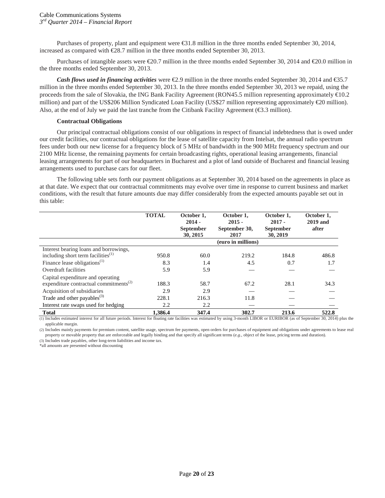Purchases of property, plant and equipment were €31.8 million in the three months ended September 30, 2014, increased as compared with €28.7 million in the three months ended September 30, 2013.

Purchases of intangible assets were €20.7 million in the three months ended September 30, 2014 and €20.0 million in the three months ended September 30, 2013.

*Cash flows used in financing activities* were €2.9 million in the three months ended September 30, 2014 and €35.7 million in the three months ended September 30, 2013. In the three months ended September 30, 2013 we repaid, using the proceeds from the sale of Slovakia, the ING Bank Facility Agreement (RON45.5 million representing approximately  $\text{\textsterling}0.2$ ) million) and part of the US\$206 Million Syndicated Loan Facility (US\$27 million representing approximately €20 million). Also, at the end of July we paid the last tranche from the Citibank Facility Agreement ( $\epsilon$ 3.3 million).

#### **Contractual Obligations**

Our principal contractual obligations consist of our obligations in respect of financial indebtedness that is owed under our credit facilities, our contractual obligations for the lease of satellite capacity from Intelsat, the annual radio spectrum fees under both our new license for a frequency block of 5 MHz of bandwidth in the 900 MHz frequency spectrum and our 2100 MHz license, the remaining payments for certain broadcasting rights, operational leasing arrangements, financial leasing arrangements for part of our headquarters in Bucharest and a plot of land outside of Bucharest and financial leasing arrangements used to purchase cars for our fleet.

The following table sets forth our payment obligations as at September 30, 2014 based on the agreements in place as at that date. We expect that our contractual commitments may evolve over time in response to current business and market conditions, with the result that future amounts due may differ considerably from the expected amounts payable set out in this table:

|                                                    | <b>TOTAL</b> | October 1,<br>$2014 -$<br><b>September</b><br>30, 2015 | October 1,<br>$2015 -$<br>September 30,<br>2017 | October 1.<br>$2017 -$<br><b>September</b><br>30, 2019 | October 1,<br>2019 and<br>after |
|----------------------------------------------------|--------------|--------------------------------------------------------|-------------------------------------------------|--------------------------------------------------------|---------------------------------|
|                                                    |              |                                                        | (euro in millions)                              |                                                        |                                 |
| Interest bearing loans and borrowings,             |              |                                                        |                                                 |                                                        |                                 |
| including short term facilities $(1)$              | 950.8        | 60.0                                                   | 219.2                                           | 184.8                                                  | 486.8                           |
| Finance lease obligations <sup>(1)</sup>           | 8.3          | 1.4                                                    | 4.5                                             | 0.7                                                    | 1.7                             |
| Overdraft facilities                               | 5.9          | 5.9                                                    |                                                 |                                                        |                                 |
| Capital expenditure and operating                  |              |                                                        |                                                 |                                                        |                                 |
| expenditure contractual commitments <sup>(2)</sup> | 188.3        | 58.7                                                   | 67.2                                            | 28.1                                                   | 34.3                            |
| Acquisition of subsidiaries                        | 2.9          | 2.9                                                    |                                                 |                                                        |                                 |
| Trade and other payables $^{(3)}$                  | 228.1        | 216.3                                                  | 11.8                                            |                                                        |                                 |
| Interest rate swaps used for hedging               | 2.2          | 2.2                                                    |                                                 |                                                        |                                 |
| <b>Total</b>                                       | 1.386.4      | 347.4                                                  | 302.7                                           | 213.6                                                  | 522.8                           |

(1) Includes estimated interest for all future periods. Interest for floating rate facilities was estimated by using 3-month LIBOR or EURIBOR (as of September 30, 2014) plus the applicable margin.

(2) Includes mainly payments for premium content, satellite usage, spectrum fee payments, open orders for purchases of equipment and obligations under agreements to lease real property or movable property that are enforceable and legally binding and that specify all significant terms (*e.g.*, object of the lease, pricing terms and duration). (3) Includes trade payables, other long-term liabilities and income tax.

\*all amounts are presented without discounting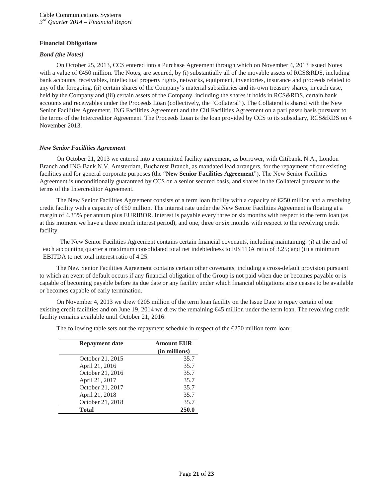# **Financial Obligations**

#### *Bond (the Notes)*

On October 25, 2013, CCS entered into a Purchase Agreement through which on November 4, 2013 issued Notes with a value of €450 million. The Notes, are secured, by (i) substantially all of the movable assets of RCS&RDS, including bank accounts, receivables, intellectual property rights, networks, equipment, inventories, insurance and proceeds related to any of the foregoing, (ii) certain shares of the Company's material subsidiaries and its own treasury shares, in each case, held by the Company and (iii) certain assets of the Company, including the shares it holds in RCS&RDS, certain bank accounts and receivables under the Proceeds Loan (collectively, the "Collateral"). The Collateral is shared with the New Senior Facilities Agreement, ING Facilities Agreement and the Citi Facilities Agreement on a pari passu basis pursuant to the terms of the Intercreditor Agreement. The Proceeds Loan is the loan provided by CCS to its subsidiary, RCS&RDS on 4 November 2013.

# *New Senior Facilities Agreement*

On October 21, 2013 we entered into a committed facility agreement, as borrower, with Citibank, N.A., London Branch and ING Bank N.V. Amsterdam, Bucharest Branch, as mandated lead arrangers, for the repayment of our existing facilities and for general corporate purposes (the "**New Senior Facilities Agreement**"). The New Senior Facilities Agreement is unconditionally guaranteed by CCS on a senior secured basis, and shares in the Collateral pursuant to the terms of the Intercreditor Agreement.

The New Senior Facilities Agreement consists of a term loan facility with a capacity of €250 million and a revolving credit facility with a capacity of €50 million. The interest rate under the New Senior Facilities Agreement is floating at a margin of 4.35% per annum plus EURIBOR. Interest is payable every three or six months with respect to the term loan (as at this moment we have a three month interest period), and one, three or six months with respect to the revolving credit facility.

The New Senior Facilities Agreement contains certain financial covenants, including maintaining: (i) at the end of each accounting quarter a maximum consolidated total net indebtedness to EBITDA ratio of 3.25; and (ii) a minimum EBITDA to net total interest ratio of 4.25.

The New Senior Facilities Agreement contains certain other covenants, including a cross-default provision pursuant to which an event of default occurs if any financial obligation of the Group is not paid when due or becomes payable or is capable of becoming payable before its due date or any facility under which financial obligations arise ceases to be available or becomes capable of early termination.

On November 4, 2013 we drew  $\epsilon$ 205 million of the term loan facility on the Issue Date to repay certain of our existing credit facilities and on June 19, 2014 we drew the remaining €45 million under the term loan. The revolving credit facility remains available until October 21, 2016.

| <b>Repayment date</b> | <b>Amount EUR</b><br>(in millions) |
|-----------------------|------------------------------------|
| October 21, 2015      | 35.7                               |
| April 21, 2016        | 35.7                               |
| October 21, 2016      | 35.7                               |
| April 21, 2017        | 35.7                               |
| October 21, 2017      | 35.7                               |
| April 21, 2018        | 35.7                               |
| October 21, 2018      | 35.7                               |
| <b>Total</b>          | 250.0                              |

The following table sets out the repayment schedule in respect of the  $E$ 250 million term loan: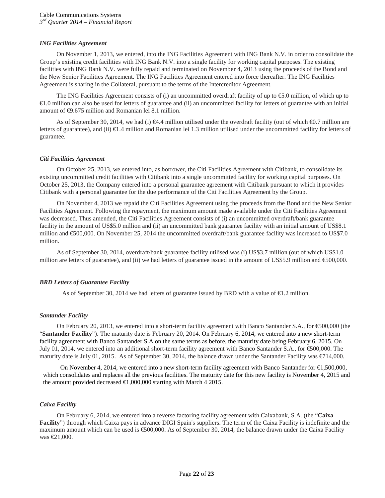# *ING Facilities Agreement*

On November 1, 2013, we entered, into the ING Facilities Agreement with ING Bank N.V. in order to consolidate the Group's existing credit facilities with ING Bank N.V. into a single facility for working capital purposes. The existing facilities with ING Bank N.V. were fully repaid and terminated on November 4, 2013 using the proceeds of the Bond and the New Senior Facilities Agreement. The ING Facilities Agreement entered into force thereafter. The ING Facilities Agreement is sharing in the Collateral, pursuant to the terms of the Intercreditor Agreement.

The ING Facilities Agreement consists of (i) an uncommitted overdraft facility of up to €5.0 million, of which up to €1.0 million can also be used for letters of guarantee and (ii) an uncommitted facility for letters of guarantee with an initial amount of  $\Theta$ .675 million and Romanian lei 8.1 million.

As of September 30, 2014, we had (i)  $\in 4.4$  million utilised under the overdraft facility (out of which  $\in 0.7$  million are letters of guarantee), and (ii) €1.4 million and Romanian lei 1.3 million utilised under the uncommitted facility for letters of guarantee.

# *Citi Facilities Agreement*

On October 25, 2013, we entered into, as borrower, the Citi Facilities Agreement with Citibank, to consolidate its existing uncommitted credit facilities with Citibank into a single uncommitted facility for working capital purposes. On October 25, 2013, the Company entered into a personal guarantee agreement with Citibank pursuant to which it provides Citibank with a personal guarantee for the due performance of the Citi Facilities Agreement by the Group.

On November 4, 2013 we repaid the Citi Facilities Agreement using the proceeds from the Bond and the New Senior Facilities Agreement. Following the repayment, the maximum amount made available under the Citi Facilities Agreement was decreased. Thus amended, the Citi Facilities Agreement consists of (i) an uncommitted overdraft/bank guarantee facility in the amount of US\$5.0 million and (ii) an uncommitted bank guarantee facility with an initial amount of US\$8.1 million and €500,000. On November 25, 2014 the uncommitted overdraft/bank guarantee facility was increased to US\$7.0 million.

As of September 30, 2014, overdraft/bank guarantee facility utilised was (i) US\$3.7 million (out of which US\$1.0 million are letters of guarantee), and (ii) we had letters of guarantee issued in the amount of US\$5.9 million and €500,000.

# *BRD Letters of Guarantee Facility*

As of September 30, 2014 we had letters of guarantee issued by BRD with a value of  $\epsilon$ 1.2 million.

#### *Santander Facility*

On February 20, 2013, we entered into a short-term facility agreement with Banco Santander S.A., for  $\epsilon$ 500,000 (the "**Santander Facility**"). The maturity date is February 20, 2014. On February 6, 2014, we entered into a new short-term facility agreement with Banco Santander S.A on the same terms as before, the maturity date being February 6, 2015. On July 01, 2014, we entered into an additional short-term facility agreement with Banco Santander S.A., for €500,000. The maturity date is July 01, 2015. As of September 30, 2014, the balance drawn under the Santander Facility was €714,000.

On November 4, 2014, we entered into a new short-term facility agreement with Banco Santander for €1,500,000, which consolidates and replaces all the previous facilities. The maturity date for this new facility is November 4, 2015 and the amount provided decreased  $\in$ 1,000,000 starting with March 4 2015.

#### *Caixa Facility*

On February 6, 2014, we entered into a reverse factoring facility agreement with Caixabank, S.A. (the "**Caixa Facility**") through which Caixa pays in advance DIGI Spain's suppliers. The term of the Caixa Facility is indefinite and the maximum amount which can be used is €500,000. As of September 30, 2014, the balance drawn under the Caixa Facility was €21,000.